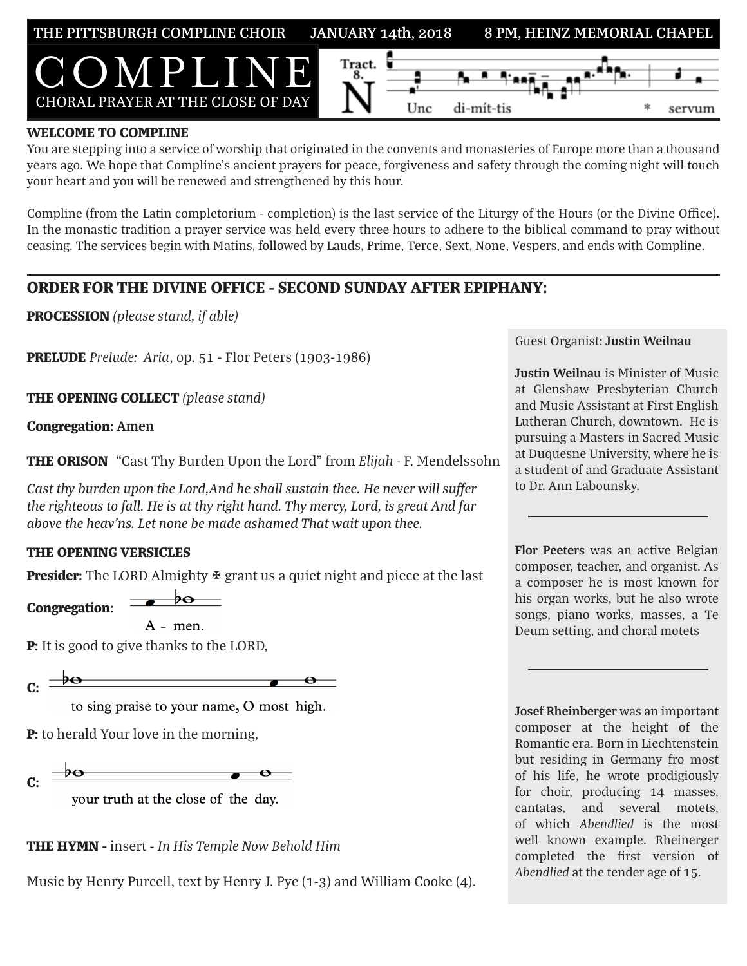

Unc

di-mít-tis

#### **WELCOME TO COMPLINE**

You are stepping into a service of worship that originated in the convents and monasteries of Europe more than a thousand years ago. We hope that Compline's ancient prayers for peace, forgiveness and safety through the coming night will touch your heart and you will be renewed and strengthened by this hour.

Compline (from the Latin completorium - completion) is the last service of the Liturgy of the Hours (or the Divine Office). In the monastic tradition a prayer service was held every three hours to adhere to the biblical command to pray without ceasing. The services begin with Matins, followed by Lauds, Prime, Terce, Sext, None, Vespers, and ends with Compline.

### **ORDER FOR THE DIVINE OFFICE - SECOND SUNDAY AFTER EPIPHANY:**

**PROCESSION** *(please stand, if able)*

**PRELUDE** *Prelude: Aria*, op. 51 - Flor Peters (1903-1986)

**THE OPENING COLLECT** *(please stand)*

**Congregation: Amen**

**THE ORISON** "Cast Thy Burden Upon the Lord" from *Elijah -* F. Mendelssohn

*Cast thy burden upon the Lord,And he shall sustain thee. He never will suffer the righteous to fall. He is at thy right hand. Thy mercy, Lord, is great And far above the heav'ns. Let none be made ashamed That wait upon thee.*

### **THE OPENING VERSICLES**

**Presider:** The LORD Almighty  $\Phi$  grant us a quiet night and piece at the last

**Congregation:**

 $A - men$ .

**P:** It is good to give thanks to the LORD,

 $c: \frac{\rightarrow}{ }$  $\overline{\phantom{a}}$ 

to sing praise to your name, O most high.

**P:** to herald Your love in the morning,



your truth at the close of the day.



Music by Henry Purcell, text by Henry J. Pye (1-3) and William Cooke (4).

Guest Organist: **Justin Weilnau**

servum

**Justin Weilnau** is Minister of Music at Glenshaw Presbyterian Church and Music Assistant at First English Lutheran Church, downtown. He is pursuing a Masters in Sacred Music at Duquesne University, where he is a student of and Graduate Assistant to Dr. Ann Labounsky.

**Flor Peeters** was an active Belgian composer, teacher, and organist. As a composer he is most known for his organ works, but he also wrote songs, piano works, masses, a Te Deum setting, and choral motets

**Josef Rheinberger** was an important composer at the height of the Romantic era. Born in Liechtenstein but residing in Germany fro most of his life, he wrote prodigiously for choir, producing 14 masses, cantatas, and several motets, of which *Abendlied* is the most well known example. Rheinerger completed the first version of *Abendlied* at the tender age of 15.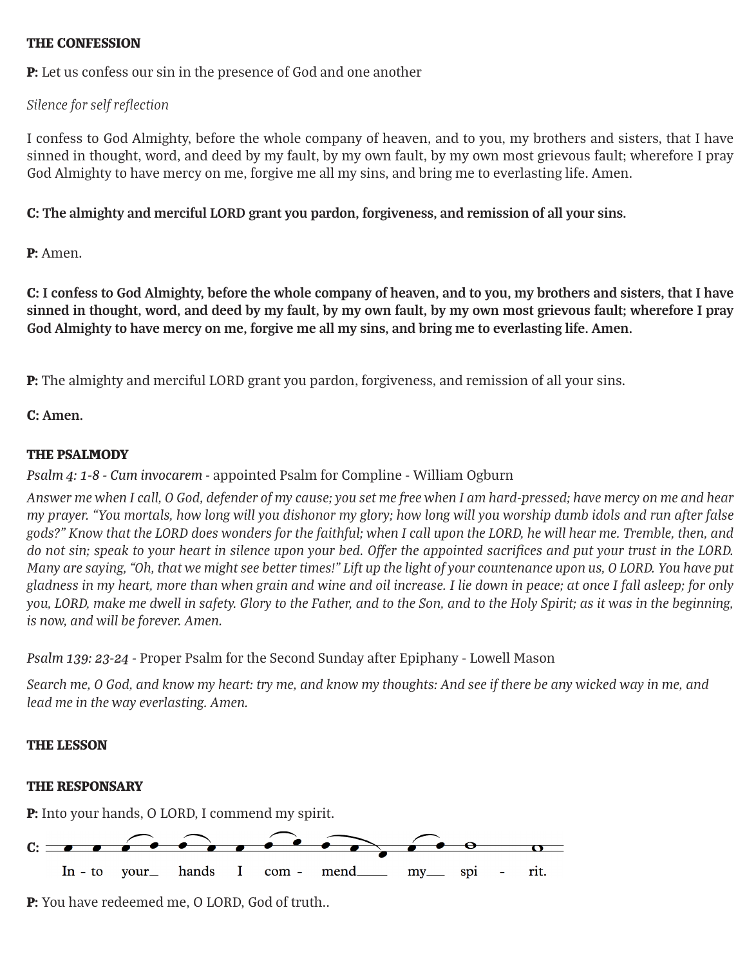#### **THE CONFESSION**

**P:** Let us confess our sin in the presence of God and one another

## *Silence for self reflection*

I confess to God Almighty, before the whole company of heaven, and to you, my brothers and sisters, that I have sinned in thought, word, and deed by my fault, by my own fault, by my own most grievous fault; wherefore I pray God Almighty to have mercy on me, forgive me all my sins, and bring me to everlasting life. Amen.

**C: The almighty and merciful LORD grant you pardon, forgiveness, and remission of all your sins.**

**P:** Amen.

**C: I confess to God Almighty, before the whole company of heaven, and to you, my brothers and sisters, that I have sinned in thought, word, and deed by my fault, by my own fault, by my own most grievous fault; wherefore I pray God Almighty to have mercy on me, forgive me all my sins, and bring me to everlasting life. Amen.**

**P:** The almighty and merciful LORD grant you pardon, forgiveness, and remission of all your sins.

**C: Amen.**

### **THE PSALMODY**

*Psalm 4: 1-8 - Cum invocarem -* appointed Psalm for Compline - William Ogburn

*Answer me when I call, O God, defender of my cause; you set me free when I am hard-pressed; have mercy on me and hear my prayer. "You mortals, how long will you dishonor my glory; how long will you worship dumb idols and run after false gods?" Know that the LORD does wonders for the faithful; when I call upon the LORD, he will hear me. Tremble, then, and do not sin; speak to your heart in silence upon your bed. Offer the appointed sacrifices and put your trust in the LORD. Many are saying, "Oh, that we might see better times!" Lift up the light of your countenance upon us, O LORD. You have put gladness in my heart, more than when grain and wine and oil increase. I lie down in peace; at once I fall asleep; for only you, LORD, make me dwell in safety. Glory to the Father, and to the Son, and to the Holy Spirit; as it was in the beginning, is now, and will be forever. Amen.*

*Psalm 139: 23-24 -* Proper Psalm for the Second Sunday after Epiphany - Lowell Mason

*Search me, O God, and know my heart: try me, and know my thoughts: And see if there be any wicked way in me, and lead me in the way everlasting. Amen.* 

#### **THE LESSON**

# **THE RESPONSARY**

**P:** Into your hands, O LORD, I commend my spirit.



**P:** You have redeemed me, O LORD, God of truth..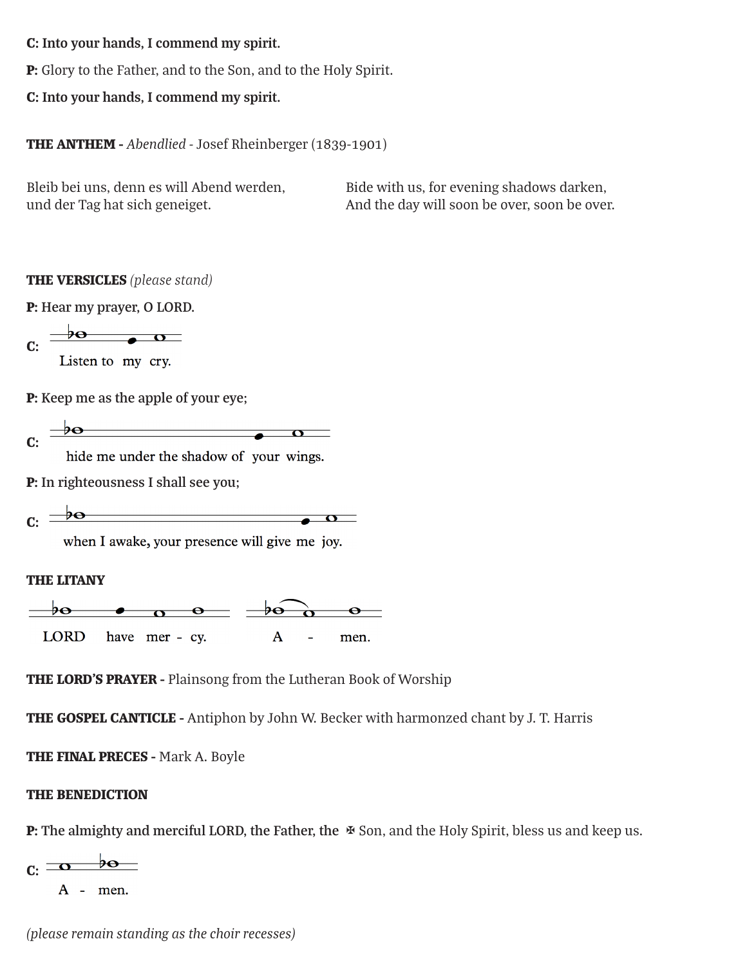**C: Into your hands, I commend my spirit.**

**P:** Glory to the Father, and to the Son, and to the Holy Spirit.

**C: Into your hands, I commend my spirit.**

**THE ANTHEM -** *Abendlied -* Josef Rheinberger (1839-1901)

Bleib bei uns, denn es will Abend werden, und der Tag hat sich geneiget.

Bide with us, for evening shadows darken, And the day will soon be over, soon be over.

### **THE VERSICLES** *(please stand)*

**P: Hear my prayer, O LORD.**

$$
c: \frac{\rightarrow}{\text{Listener to my cry.}}
$$

**P: Keep me as the apple of your eye;**



hide me under the shadow of your wings.

**P: In righteousness I shall see you;**

$$
c: \frac{\qquad}{\qquad} \circ \qquad \qquad \bullet
$$

when I awake, your presence will give me joy.

#### **THE LITANY**



**THE LORD'S PRAYER -** Plainsong from the Lutheran Book of Worship

**THE GOSPEL CANTICLE -** Antiphon by John W. Becker with harmonzed chant by J. T. Harris

**THE FINAL PRECES -** Mark A. Boyle

## **THE BENEDICTION**

**P:** The almighty and merciful LORD, the Father, the  $\ast$  Son, and the Holy Spirit, bless us and keep us.

 $c: \overline{\bullet} \rightarrow \bullet$ 

 $A - men$ .

*(please remain standing as the choir recesses)*